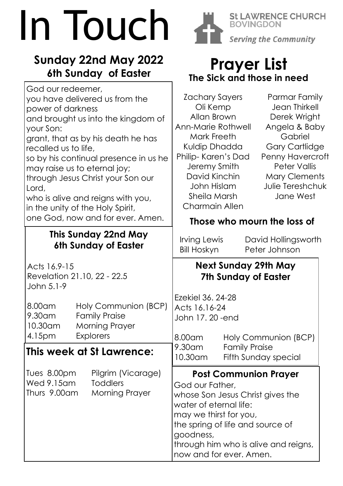# In Touch

# **Sunday 22nd May 2022 6th Sunday of Easter**



**Prayer List The Sick and those in need**

**BOVINGDON** 

**St LAWRENCE CHURCH** 

**Serving the Community**